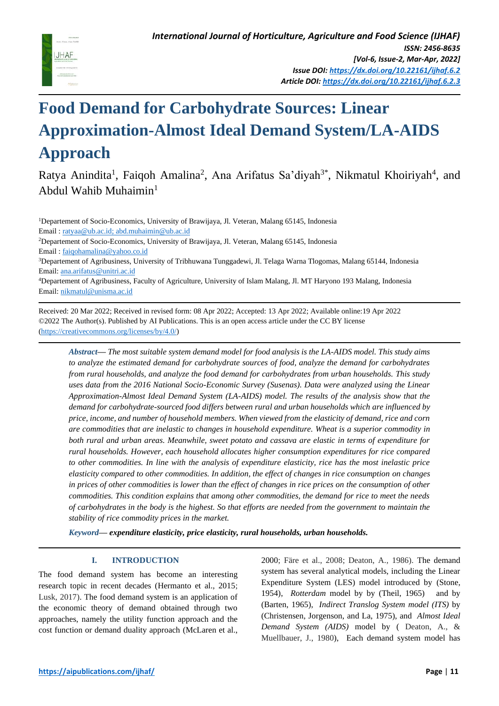

# **Food Demand for Carbohydrate Sources: Linear Approximation-Almost Ideal Demand System/LA-AIDS Approach**

Ratya Anindita<sup>1</sup>, Faiqoh Amalina<sup>2</sup>, Ana Arifatus Sa'diyah<sup>3\*</sup>, Nikmatul Khoiriyah<sup>4</sup>, and Abdul Wahib Muhaimin<sup>1</sup>

<sup>1</sup>Departement of Socio-Economics, University of Brawijaya, Jl. Veteran, Malang 65145, Indonesia Email [: ratyaa@ub.ac.id;](mailto:ratyaa@ub.ac.id) abd.muhaimin@ub.ac.id <sup>2</sup>Departement of Socio-Economics, University of Brawijaya, Jl. Veteran, Malang 65145, Indonesia Email [: faiqohamalina@yahoo.co.id](mailto:faiqohamalina@yahoo.co.id) <sup>3</sup>Departement of Agribusiness, University of Tribhuwana Tunggadewi, Jl. Telaga Warna Tlogomas, Malang 65144, Indonesia Email[: ana.arifatus@unitri.ac.id](mailto:ana.arifatus@unitri.ac.id) <sup>4</sup>Departement of Agribusiness, Faculty of Agriculture, University of Islam Malang, Jl. MT Haryono 193 Malang, Indonesia Email[: nikmatul@unisma.ac.id](mailto:nikmatul@unisma.ac.id)

Received: 20 Mar 2022; Received in revised form: 08 Apr 2022; Accepted: 13 Apr 2022; Available online:19 Apr 2022 ©2022 The Author(s). Published by AI Publications. This is an open access article under the CC BY license [\(https://creativecommons.org/licenses/by/4.0/\)](https://creativecommons.org/licenses/by/4.0/)

*Abstract— The most suitable system demand model for food analysis is the LA-AIDS model. This study aims to analyze the estimated demand for carbohydrate sources of food, analyze the demand for carbohydrates from rural households, and analyze the food demand for carbohydrates from urban households. This study uses data from the 2016 National Socio-Economic Survey (Susenas). Data were analyzed using the Linear Approximation-Almost Ideal Demand System (LA-AIDS) model. The results of the analysis show that the demand for carbohydrate-sourced food differs between rural and urban households which are influenced by price, income, and number of household members. When viewed from the elasticity of demand, rice and corn are commodities that are inelastic to changes in household expenditure. Wheat is a superior commodity in both rural and urban areas. Meanwhile, sweet potato and cassava are elastic in terms of expenditure for rural households. However, each household allocates higher consumption expenditures for rice compared to other commodities. In line with the analysis of expenditure elasticity, rice has the most inelastic price elasticity compared to other commodities. In addition, the effect of changes in rice consumption on changes in prices of other commodities is lower than the effect of changes in rice prices on the consumption of other commodities. This condition explains that among other commodities, the demand for rice to meet the needs of carbohydrates in the body is the highest. So that efforts are needed from the government to maintain the stability of rice commodity prices in the market.*

*Keyword— expenditure elasticity, price elasticity, rural households, urban households.*

# **I. INTRODUCTION**

The food demand system has become an interesting research topic in recent decades (Hermanto et al., 2015; Lusk, 2017). The food demand system is an application of the economic theory of demand obtained through two approaches, namely the utility function approach and the cost function or demand duality approach (McLaren et al., 2000; Färe et al., 2008; Deaton, A., 1986). The demand system has several analytical models, including the Linear Expenditure System (LES) model introduced by (Stone, 1954), *Rotterdam* model by by (Theil, 1965) and by (Barten, 1965), *Indirect Translog System model (ITS)* by (Christensen, Jorgenson, and La, 1975), and *Almost Ideal Demand System (AIDS)* model by ( Deaton, A., & Muellbauer, J., 1980), Each demand system model has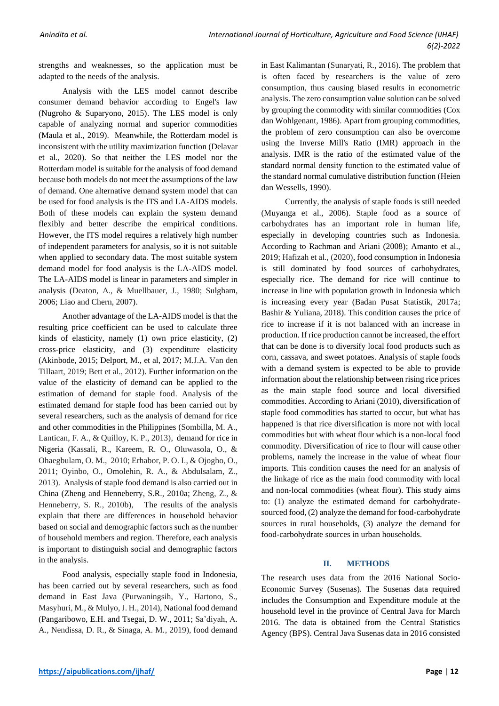strengths and weaknesses, so the application must be adapted to the needs of the analysis.

Analysis with the LES model cannot describe consumer demand behavior according to Engel's law (Nugroho & Suparyono, 2015). The LES model is only capable of analyzing normal and superior commodities (Maula et al., 2019). Meanwhile, the Rotterdam model is inconsistent with the utility maximization function (Delavar et al., 2020). So that neither the LES model nor the Rotterdam model is suitable for the analysis of food demand because both models do not meet the assumptions of the law of demand. One alternative demand system model that can be used for food analysis is the ITS and LA-AIDS models. Both of these models can explain the system demand flexibly and better describe the empirical conditions. However, the ITS model requires a relatively high number of independent parameters for analysis, so it is not suitable when applied to secondary data. The most suitable system demand model for food analysis is the LA-AIDS model. The LA-AIDS model is linear in parameters and simpler in analysis (Deaton, A., & Muellbauer, J., 1980; Sulgham, 2006; Liao and Chern, 2007).

Another advantage of the LA-AIDS model is that the resulting price coefficient can be used to calculate three kinds of elasticity, namely (1) own price elasticity, (2) cross-price elasticity, and (3) expenditure elasticity (Akinbode, 2015; Delport, M., et al, 2017; M.J.A. Van den Tillaart, 2019; Bett et al., 2012). Further information on the value of the elasticity of demand can be applied to the estimation of demand for staple food. Analysis of the estimated demand for staple food has been carried out by several researchers, such as the analysis of demand for rice and other commodities in the Philippines (Sombilla, M. A., Lantican, F. A., & Quilloy, K. P., 2013), demand for rice in Nigeria (Kassali, R., Kareem, R. O., Oluwasola, O., & Ohaegbulam, O. M., 2010; Erhabor, P. O. I., & Ojogho, O., 2011; Oyinbo, O., Omolehin, R. A., & Abdulsalam, Z., 2013). Analysis of staple food demand is also carried out in China (Zheng and Henneberry, S.R., 2010a; Zheng, Z., & Henneberry, S. R., 2010b), The results of the analysis explain that there are differences in household behavior based on social and demographic factors such as the number of household members and region. Therefore, each analysis is important to distinguish social and demographic factors in the analysis.

Food analysis, especially staple food in Indonesia, has been carried out by several researchers, such as food demand in East Java (Purwaningsih, Y., Hartono, S., Masyhuri, M., & Mulyo, J. H., 2014), National food demand (Pangaribowo, E.H. and Tsegai, D. W., 2011; Sa'diyah, A. A., Nendissa, D. R., & Sinaga, A. M., 2019), food demand

in East Kalimantan (Sunaryati, R., 2016). The problem that is often faced by researchers is the value of zero consumption, thus causing biased results in econometric analysis. The zero consumption value solution can be solved by grouping the commodity with similar commodities (Cox dan Wohlgenant, 1986). Apart from grouping commodities, the problem of zero consumption can also be overcome using the Inverse Mill's Ratio (IMR) approach in the analysis. IMR is the ratio of the estimated value of the standard normal density function to the estimated value of the standard normal cumulative distribution function (Heien dan Wessells, 1990).

Currently, the analysis of staple foods is still needed (Muyanga et al., 2006). Staple food as a source of carbohydrates has an important role in human life, especially in developing countries such as Indonesia. According to Rachman and Ariani (2008); Amanto et al., 2019; Hafizah et al., (2020), food consumption in Indonesia is still dominated by food sources of carbohydrates, especially rice. The demand for rice will continue to increase in line with population growth in Indonesia which is increasing every year (Badan Pusat Statistik, 2017a; Bashir & Yuliana, 2018). This condition causes the price of rice to increase if it is not balanced with an increase in production. If rice production cannot be increased, the effort that can be done is to diversify local food products such as corn, cassava, and sweet potatoes. Analysis of staple foods with a demand system is expected to be able to provide information about the relationship between rising rice prices as the main staple food source and local diversified commodities. According to Ariani (2010), diversification of staple food commodities has started to occur, but what has happened is that rice diversification is more not with local commodities but with wheat flour which is a non-local food commodity. Diversification of rice to flour will cause other problems, namely the increase in the value of wheat flour imports. This condition causes the need for an analysis of the linkage of rice as the main food commodity with local and non-local commodities (wheat flour). This study aims to: (1) analyze the estimated demand for carbohydratesourced food, (2) analyze the demand for food-carbohydrate sources in rural households, (3) analyze the demand for food-carbohydrate sources in urban households.

#### **II. METHODS**

The research uses data from the 2016 National Socio-Economic Survey (Susenas). The Susenas data required includes the Consumption and Expenditure module at the household level in the province of Central Java for March 2016. The data is obtained from the Central Statistics Agency (BPS). Central Java Susenas data in 2016 consisted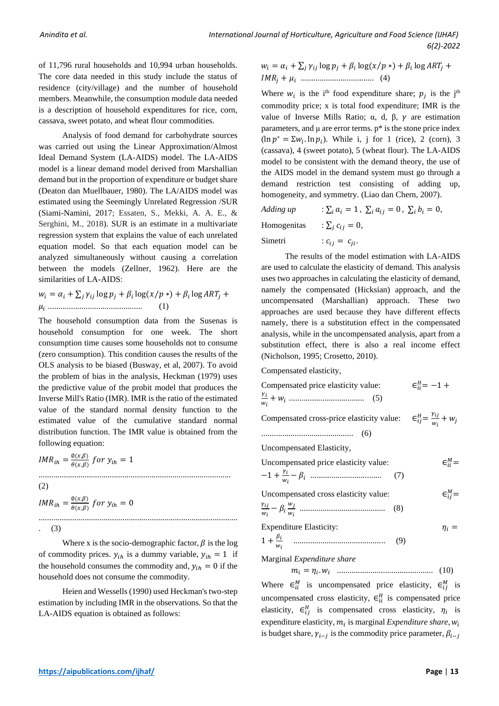of 11,796 rural households and 10,994 urban households. The core data needed in this study include the status of residence (city/village) and the number of household members. Meanwhile, the consumption module data needed is a description of household expenditures for rice, corn, cassava, sweet potato, and wheat flour commodities.

Analysis of food demand for carbohydrate sources was carried out using the Linear Approximation/Almost Ideal Demand System (LA-AIDS) model. The LA-AIDS model is a linear demand model derived from Marshallian demand but in the proportion of expenditure or budget share (Deaton dan Muellbauer, 1980). The LA/AIDS model was estimated using the Seemingly Unrelated Regression /SUR (Siami-Namini, 2017; Essaten, S., Mekki, A. A. E., & Serghini, M., 2018). SUR is an estimate in a multivariate regression system that explains the value of each unrelated equation model. So that each equation model can be analyzed simultaneously without causing a correlation between the models (Zellner, 1962). Here are the similarities of LA-AIDS:

 = +∑ log + log(⁄ ∗)+ log + ............................................. (1)

The household consumption data from the Susenas is household consumption for one week. The short consumption time causes some households not to consume (zero consumption). This condition causes the results of the OLS analysis to be biased (Busway, et al, 2007). To avoid the problem of bias in the analysis, Heckman (1979) uses the predictive value of the probit model that produces the Inverse Mill's Ratio (IMR). IMR is the ratio of the estimated value of the standard normal density function to the estimated value of the cumulative standard normal distribution function. The IMR value is obtained from the following equation:

$$
IMR_{ih} = \frac{\emptyset(x,\beta)}{\theta(x,\beta)} \text{ for } y_{ih} = 1
$$
\n
$$
\dots
$$
\n
$$
(2)
$$

$$
IMR_{ih} = \frac{\phi(x,\beta)}{\theta(x,\beta)} \text{ for } y_{ih} = 0
$$

. (3)

Where x is the socio-demographic factor,  $\beta$  is the log of commodity prices.  $y_{ih}$  is a dummy variable,  $y_{ih} = 1$  if the household consumes the commodity and,  $y_{ih} = 0$  if the household does not consume the commodity.

............................................................................................

Heien and Wessells (1990) used Heckman's two-step estimation by including IMR in the observations. So that the LA-AIDS equation is obtained as follows:

 $w_i = \alpha_i + \sum_j \gamma_{ij} \log p_j + \beta_i \log(x/p*) + \beta_i \log ART_j +$ + ................................... (4)

Where  $w_i$  is the i<sup>th</sup> food expenditure share;  $p_j$  is the j<sup>th</sup> commodity price; x is total food expenditure; IMR is the value of Inverse Mills Ratio;  $\alpha$ , d,  $\beta$ ,  $\gamma$  are estimation parameters, and  $\mu$  are error terms.  $p^*$  is the stone price index  $(\ln p^* = \sum w_i \cdot \ln p_i)$ . While i, j for 1 (rice), 2 (corn), 3 (cassava), 4 (sweet potato), 5 (wheat flour). The LA-AIDS model to be consistent with the demand theory, the use of the AIDS model in the demand system must go through a demand restriction test consisting of adding up, homogeneity, and symmetry. (Liao dan Chern, 2007).

Adding up: 
$$
\sum_i a_i = 1, \sum_i a_{ij} = 0, \sum_i b_i = 0,
$$

Homogenitas :  $\sum_i c_{ii} = 0$ ,

Simetri :  $c_{ii} = c_{ii}$ .

The results of the model estimation with LA-AIDS are used to calculate the elasticity of demand. This analysis uses two approaches in calculating the elasticity of demand, namely the compensated (Hicksian) approach, and the uncompensated (Marshallian) approach. These two approaches are used because they have different effects namely, there is a substitution effect in the compensated analysis, while in the uncompensated analysis, apart from a substitution effect, there is also a real income effect (Nicholson, 1995; Crosetto, 2010).

Compensated elasticity,

| Compensated price elasticity value:                                                    | $\epsilon_{ii}^H = -1 +$ |
|----------------------------------------------------------------------------------------|--------------------------|
| Compensated cross-price elasticity value: $\epsilon_{ij}^H = \frac{v_{ij}}{w_i} + w_j$ |                          |
|                                                                                        |                          |
| Uncompensated Elasticity,                                                              |                          |
| Uncompensated price elasticity value:                                                  | $\in_{ii}^M =$           |
| (7)                                                                                    |                          |
| Uncompensated cross elasticity value:                                                  | $\in_{ii}^M =$           |
| (8)                                                                                    |                          |
| <b>Expenditure Elasticity:</b>                                                         | $\eta_i =$               |
| (9)                                                                                    |                          |
| Marginal Expenditure share                                                             |                          |
|                                                                                        |                          |
| Where $\epsilon_{ii}^M$ is uncompensated price elasticity, $\epsilon_{ii}^M$ is        |                          |

uncompensated cross elasticity,  $\epsilon_{ii}^H$  is compensated price elasticity,  $\epsilon_{ij}^H$  is compensated cross elasticity,  $\eta_i$  is expenditure elasticity,  $m_i$  is marginal *Expenditure share*,  $w_i$ is budget share,  $\gamma_{i-j}$  is the commodity price parameter,  $\beta_{i-j}$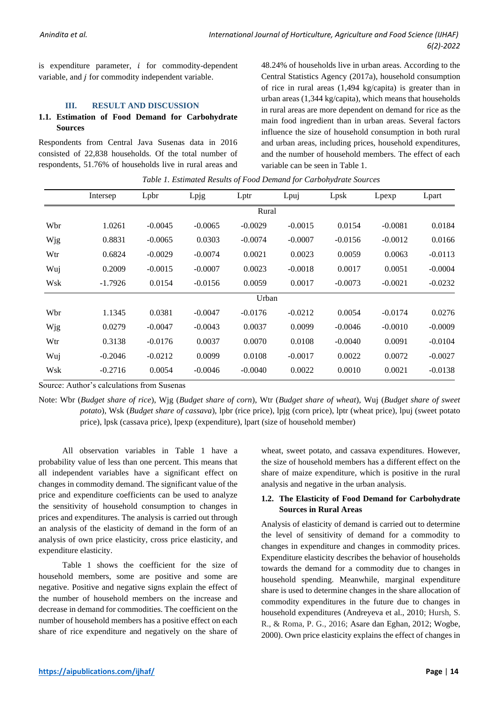is expenditure parameter,  $i$  for commodity-dependent variable, and  $j$  for commodity independent variable.

#### **III. RESULT AND DISCUSSION**

### **1.1. Estimation of Food Demand for Carbohydrate Sources**

Respondents from Central Java Susenas data in 2016 consisted of 22,838 households. Of the total number of respondents, 51.76% of households live in rural areas and

48.24% of households live in urban areas. According to the Central Statistics Agency (2017a), household consumption of rice in rural areas (1,494 kg/capita) is greater than in urban areas (1,344 kg/capita), which means that households in rural areas are more dependent on demand for rice as the main food ingredient than in urban areas. Several factors influence the size of household consumption in both rural and urban areas, including prices, household expenditures, and the number of household members. The effect of each variable can be seen in Table 1.

|     | Intersep  | Lpbr      | Lpjg      | Lptr      | Lpuj      | Lpsk      | Lpexp     | Lpart     |  |  |
|-----|-----------|-----------|-----------|-----------|-----------|-----------|-----------|-----------|--|--|
|     | Rural     |           |           |           |           |           |           |           |  |  |
| Wbr | 1.0261    | $-0.0045$ | $-0.0065$ | $-0.0029$ | $-0.0015$ | 0.0154    | $-0.0081$ | 0.0184    |  |  |
| Wjg | 0.8831    | $-0.0065$ | 0.0303    | $-0.0074$ | $-0.0007$ | $-0.0156$ | $-0.0012$ | 0.0166    |  |  |
| Wtr | 0.6824    | $-0.0029$ | $-0.0074$ | 0.0021    | 0.0023    | 0.0059    | 0.0063    | $-0.0113$ |  |  |
| Wuj | 0.2009    | $-0.0015$ | $-0.0007$ | 0.0023    | $-0.0018$ | 0.0017    | 0.0051    | $-0.0004$ |  |  |
| Wsk | $-1.7926$ | 0.0154    | $-0.0156$ | 0.0059    | 0.0017    | $-0.0073$ | $-0.0021$ | $-0.0232$ |  |  |
|     |           |           |           | Urban     |           |           |           |           |  |  |
| Wbr | 1.1345    | 0.0381    | $-0.0047$ | $-0.0176$ | $-0.0212$ | 0.0054    | $-0.0174$ | 0.0276    |  |  |
| Wjg | 0.0279    | $-0.0047$ | $-0.0043$ | 0.0037    | 0.0099    | $-0.0046$ | $-0.0010$ | $-0.0009$ |  |  |
| Wtr | 0.3138    | $-0.0176$ | 0.0037    | 0.0070    | 0.0108    | $-0.0040$ | 0.0091    | $-0.0104$ |  |  |
| Wuj | $-0.2046$ | $-0.0212$ | 0.0099    | 0.0108    | $-0.0017$ | 0.0022    | 0.0072    | $-0.0027$ |  |  |
| Wsk | $-0.2716$ | 0.0054    | $-0.0046$ | $-0.0040$ | 0.0022    | 0.0010    | 0.0021    | $-0.0138$ |  |  |

*Table 1. Estimated Results of Food Demand for Carbohydrate Sources*

Source: Author's calculations from Susenas

Note: Wbr (*Budget share of rice*), Wjg (*Budget share of corn*), Wtr (*Budget share of wheat*), Wuj (*Budget share of sweet potato*), Wsk (*Budget share of cassava*), lpbr (rice price), lpjg (corn price), lptr (wheat price), lpuj (sweet potato price), lpsk (cassava price), lpexp (expenditure), lpart (size of household member)

All observation variables in Table 1 have a probability value of less than one percent. This means that all independent variables have a significant effect on changes in commodity demand. The significant value of the price and expenditure coefficients can be used to analyze the sensitivity of household consumption to changes in prices and expenditures. The analysis is carried out through an analysis of the elasticity of demand in the form of an analysis of own price elasticity, cross price elasticity, and expenditure elasticity.

Table 1 shows the coefficient for the size of household members, some are positive and some are negative. Positive and negative signs explain the effect of the number of household members on the increase and decrease in demand for commodities. The coefficient on the number of household members has a positive effect on each share of rice expenditure and negatively on the share of wheat, sweet potato, and cassava expenditures. However, the size of household members has a different effect on the share of maize expenditure, which is positive in the rural analysis and negative in the urban analysis.

### **1.2. The Elasticity of Food Demand for Carbohydrate Sources in Rural Areas**

Analysis of elasticity of demand is carried out to determine the level of sensitivity of demand for a commodity to changes in expenditure and changes in commodity prices. Expenditure elasticity describes the behavior of households towards the demand for a commodity due to changes in household spending. Meanwhile, marginal expenditure share is used to determine changes in the share allocation of commodity expenditures in the future due to changes in household expenditures (Andreyeva et al., 2010; Hursh, S. R., & Roma, P. G., 2016; Asare dan Eghan, 2012; Wogbe, 2000). Own price elasticity explains the effect of changes in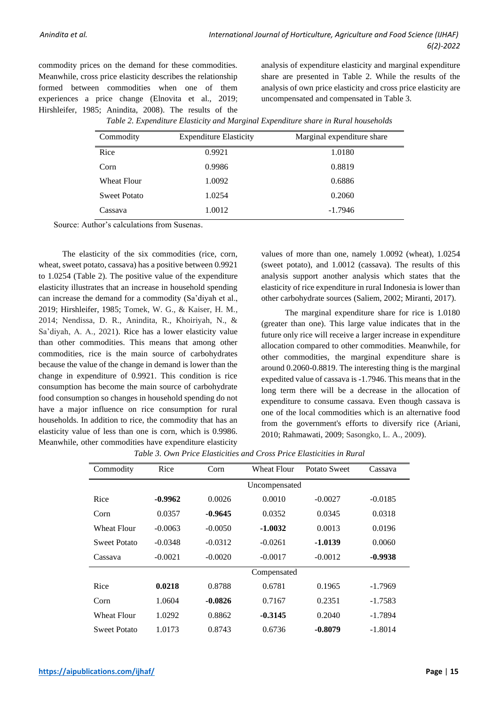commodity prices on the demand for these commodities. Meanwhile, cross price elasticity describes the relationship formed between commodities when one of them experiences a price change (Elnovita et al., 2019; Hirshleifer, 1985; Anindita, 2008). The results of the analysis of expenditure elasticity and marginal expenditure share are presented in Table 2. While the results of the analysis of own price elasticity and cross price elasticity are uncompensated and compensated in Table 3.

|  |  | Table 2. Expenditure Elasticity and Marginal Expenditure share in Rural households |
|--|--|------------------------------------------------------------------------------------|
|--|--|------------------------------------------------------------------------------------|

| Commodity           | <b>Expenditure Elasticity</b> | Marginal expenditure share |
|---------------------|-------------------------------|----------------------------|
| Rice                | 0.9921                        | 1.0180                     |
| Corn                | 0.9986                        | 0.8819                     |
| <b>Wheat Flour</b>  | 1.0092                        | 0.6886                     |
| <b>Sweet Potato</b> | 1.0254                        | 0.2060                     |
| Cassava             | 1.0012                        | $-1.7946$                  |

Source: Author's calculations from Susenas.

The elasticity of the six commodities (rice, corn, wheat, sweet potato, cassava) has a positive between 0.9921 to 1.0254 (Table 2). The positive value of the expenditure elasticity illustrates that an increase in household spending can increase the demand for a commodity (Sa'diyah et al., 2019; Hirshleifer, 1985; Tomek, W. G., & Kaiser, H. M., 2014; Nendissa, D. R., Anindita, R., Khoiriyah, N., & Sa'diyah, A. A., 2021). Rice has a lower elasticity value than other commodities. This means that among other commodities, rice is the main source of carbohydrates because the value of the change in demand is lower than the change in expenditure of 0.9921. This condition is rice consumption has become the main source of carbohydrate food consumption so changes in household spending do not have a major influence on rice consumption for rural households. In addition to rice, the commodity that has an elasticity value of less than one is corn, which is 0.9986. Meanwhile, other commodities have expenditure elasticity

values of more than one, namely 1.0092 (wheat), 1.0254 (sweet potato), and 1.0012 (cassava). The results of this analysis support another analysis which states that the elasticity of rice expenditure in rural Indonesia is lower than other carbohydrate sources (Saliem, 2002; Miranti, 2017).

The marginal expenditure share for rice is 1.0180 (greater than one). This large value indicates that in the future only rice will receive a larger increase in expenditure allocation compared to other commodities. Meanwhile, for other commodities, the marginal expenditure share is around 0.2060-0.8819. The interesting thing is the marginal expedited value of cassava is -1.7946. This means that in the long term there will be a decrease in the allocation of expenditure to consume cassava. Even though cassava is one of the local commodities which is an alternative food from the government's efforts to diversify rice (Ariani, 2010; Rahmawati, 2009; Sasongko, L. A., 2009).

|  |  | Table 3. Own Price Elasticities and Cross Price Elasticities in Rural |  |  |  |
|--|--|-----------------------------------------------------------------------|--|--|--|
|  |  |                                                                       |  |  |  |

| Commodity           | Rice      | Corn      | Wheat Flour   | Potato Sweet | Cassava   |  |  |  |
|---------------------|-----------|-----------|---------------|--------------|-----------|--|--|--|
|                     |           |           | Uncompensated |              |           |  |  |  |
| Rice                | $-0.9962$ | 0.0026    | 0.0010        | $-0.0027$    | $-0.0185$ |  |  |  |
| Corn                | 0.0357    | $-0.9645$ | 0.0352        | 0.0345       | 0.0318    |  |  |  |
| Wheat Flour         | $-0.0063$ | $-0.0050$ | -1.0032       | 0.0013       | 0.0196    |  |  |  |
| Sweet Potato        | $-0.0348$ | $-0.0312$ | $-0.0261$     | -1.0139      | 0.0060    |  |  |  |
| Cassava             | $-0.0021$ | $-0.0020$ | $-0.0017$     | $-0.0012$    | $-0.9938$ |  |  |  |
|                     |           |           | Compensated   |              |           |  |  |  |
| Rice                | 0.0218    | 0.8788    | 0.6781        | 0.1965       | $-1.7969$ |  |  |  |
| Corn                | 1.0604    | $-0.0826$ | 0.7167        | 0.2351       | $-1.7583$ |  |  |  |
| <b>Wheat Flour</b>  | 1.0292    | 0.8862    | $-0.3145$     | 0.2040       | $-1.7894$ |  |  |  |
| <b>Sweet Potato</b> | 1.0173    | 0.8743    | 0.6736        | $-0.8079$    | $-1.8014$ |  |  |  |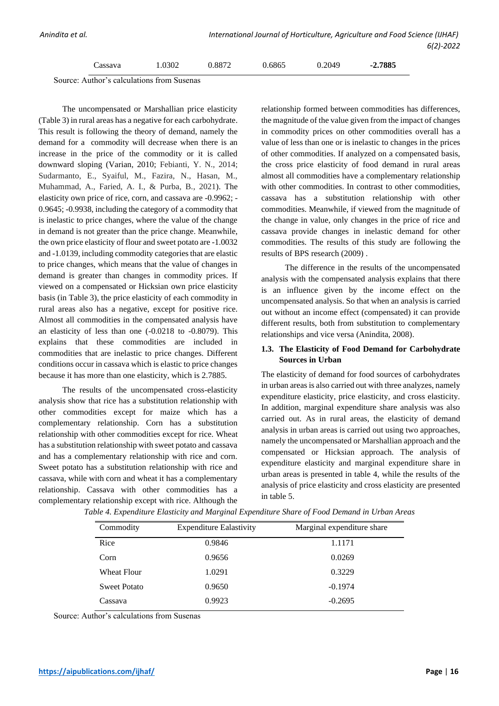Source: Author's calculations from Susenas

The uncompensated or Marshallian price elasticity (Table 3) in rural areas has a negative for each carbohydrate. This result is following the theory of demand, namely the demand for a commodity will decrease when there is an increase in the price of the commodity or it is called downward sloping (Varian, 2010; Febianti, Y. N., 2014; Sudarmanto, E., Syaiful, M., Fazira, N., Hasan, M., Muhammad, A., Faried, A. I., & Purba, B., 2021). The elasticity own price of rice, corn, and cassava are -0.9962; - 0.9645; -0.9938, including the category of a commodity that is inelastic to price changes, where the value of the change in demand is not greater than the price change. Meanwhile, the own price elasticity of flour and sweet potato are -1.0032 and -1.0139, including commodity categories that are elastic to price changes, which means that the value of changes in demand is greater than changes in commodity prices. If viewed on a compensated or Hicksian own price elasticity basis (in Table 3), the price elasticity of each commodity in rural areas also has a negative, except for positive rice. Almost all commodities in the compensated analysis have an elasticity of less than one (-0.0218 to -0.8079). This explains that these commodities are included in commodities that are inelastic to price changes. Different conditions occur in cassava which is elastic to price changes because it has more than one elasticity, which is 2.7885.

The results of the uncompensated cross-elasticity analysis show that rice has a substitution relationship with other commodities except for maize which has a complementary relationship. Corn has a substitution relationship with other commodities except for rice. Wheat has a substitution relationship with sweet potato and cassava and has a complementary relationship with rice and corn. Sweet potato has a substitution relationship with rice and cassava, while with corn and wheat it has a complementary relationship. Cassava with other commodities has a complementary relationship except with rice. Although the

relationship formed between commodities has differences, the magnitude of the value given from the impact of changes in commodity prices on other commodities overall has a value of less than one or is inelastic to changes in the prices of other commodities. If analyzed on a compensated basis, the cross price elasticity of food demand in rural areas almost all commodities have a complementary relationship with other commodities. In contrast to other commodities, cassava has a substitution relationship with other commodities. Meanwhile, if viewed from the magnitude of the change in value, only changes in the price of rice and cassava provide changes in inelastic demand for other commodities. The results of this study are following the results of BPS research (2009) .

The difference in the results of the uncompensated analysis with the compensated analysis explains that there is an influence given by the income effect on the uncompensated analysis. So that when an analysis is carried out without an income effect (compensated) it can provide different results, both from substitution to complementary relationships and vice versa (Anindita, 2008).

## **1.3. The Elasticity of Food Demand for Carbohydrate Sources in Urban**

The elasticity of demand for food sources of carbohydrates in urban areas is also carried out with three analyzes, namely expenditure elasticity, price elasticity, and cross elasticity. In addition, marginal expenditure share analysis was also carried out. As in rural areas, the elasticity of demand analysis in urban areas is carried out using two approaches, namely the uncompensated or Marshallian approach and the compensated or Hicksian approach. The analysis of expenditure elasticity and marginal expenditure share in urban areas is presented in table 4, while the results of the analysis of price elasticity and cross elasticity are presented in table 5.

| Commodity           | <b>Expenditure Ealastivity</b> | Marginal expenditure share |
|---------------------|--------------------------------|----------------------------|
| Rice                | 0.9846                         | 1.1171                     |
| Corn                | 0.9656                         | 0.0269                     |
| <b>Wheat Flour</b>  | 1.0291                         | 0.3229                     |
| <b>Sweet Potato</b> | 0.9650                         | $-0.1974$                  |
| Cassava             | 0.9923                         | $-0.2695$                  |

|  |  |  |  | Table 4. Expenditure Elasticity and Marginal Expenditure Share of Food Demand in Urban Areas |
|--|--|--|--|----------------------------------------------------------------------------------------------|
|  |  |  |  |                                                                                              |

Source: Author's calculations from Susenas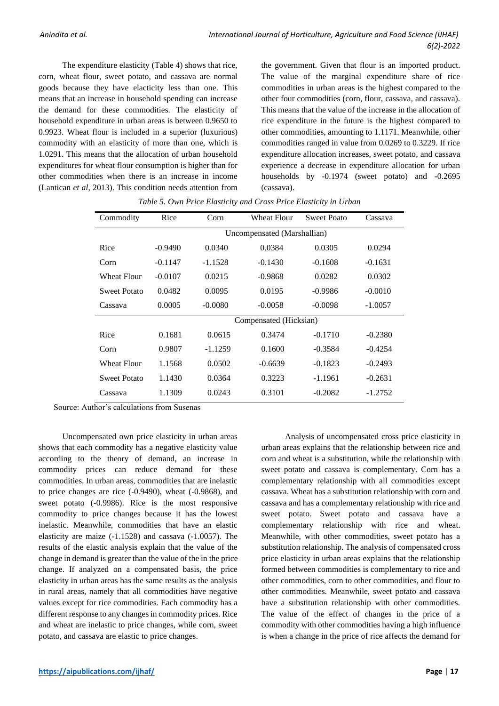The expenditure elasticity (Table 4) shows that rice, corn, wheat flour, sweet potato, and cassava are normal goods because they have elacticity less than one. This means that an increase in household spending can increase the demand for these commodities. The elasticity of household expenditure in urban areas is between 0.9650 to 0.9923. Wheat flour is included in a superior (luxurious) commodity with an elasticity of more than one, which is 1.0291. This means that the allocation of urban household expenditures for wheat flour consumption is higher than for other commodities when there is an increase in income (Lantican *et al,* 2013). This condition needs attention from the government. Given that flour is an imported product. The value of the marginal expenditure share of rice commodities in urban areas is the highest compared to the other four commodities (corn, flour, cassava, and cassava). This means that the value of the increase in the allocation of rice expenditure in the future is the highest compared to other commodities, amounting to 1.1171. Meanwhile, other commodities ranged in value from 0.0269 to 0.3229. If rice expenditure allocation increases, sweet potato, and cassava experience a decrease in expenditure allocation for urban households by -0.1974 (sweet potato) and -0.2695 (cassava).

| Commodity           | Rice      | Corn                        | <b>Wheat Flour</b> | Sweet Poato | Cassava   |  |  |  |  |  |
|---------------------|-----------|-----------------------------|--------------------|-------------|-----------|--|--|--|--|--|
|                     |           | Uncompensated (Marshallian) |                    |             |           |  |  |  |  |  |
| Rice                | $-0.9490$ | 0.0340                      | 0.0384             | 0.0305      | 0.0294    |  |  |  |  |  |
| Corn                | $-0.1147$ | $-1.1528$                   | $-0.1430$          | $-0.1608$   | $-0.1631$ |  |  |  |  |  |
| Wheat Flour         | $-0.0107$ | 0.0215                      | $-0.9868$          | 0.0282      | 0.0302    |  |  |  |  |  |
| <b>Sweet Potato</b> | 0.0482    | 0.0095                      | 0.0195             | $-0.9986$   | $-0.0010$ |  |  |  |  |  |
| Cassava             | 0.0005    | $-0.0080$                   | $-0.0058$          | $-0.0098$   | $-1.0057$ |  |  |  |  |  |
|                     |           | Compensated (Hicksian)      |                    |             |           |  |  |  |  |  |
| Rice                | 0.1681    | 0.0615                      | 0.3474             | $-0.1710$   | $-0.2380$ |  |  |  |  |  |
| Corn                | 0.9807    | $-1.1259$                   | 0.1600             | $-0.3584$   | $-0.4254$ |  |  |  |  |  |
| Wheat Flour         | 1.1568    | 0.0502                      | $-0.6639$          | $-0.1823$   | $-0.2493$ |  |  |  |  |  |
| <b>Sweet Potato</b> | 1.1430    | 0.0364                      | 0.3223             | $-1.1961$   | $-0.2631$ |  |  |  |  |  |
| Cassava             | 1.1309    | 0.0243                      | 0.3101             | $-0.2082$   | $-1.2752$ |  |  |  |  |  |

*Table 5. Own Price Elasticity and Cross Price Elasticity in Urban*

Source: Author's calculations from Susenas

Uncompensated own price elasticity in urban areas shows that each commodity has a negative elasticity value according to the theory of demand, an increase in commodity prices can reduce demand for these commodities. In urban areas, commodities that are inelastic to price changes are rice (-0.9490), wheat (-0.9868), and sweet potato (-0.9986). Rice is the most responsive commodity to price changes because it has the lowest inelastic. Meanwhile, commodities that have an elastic elasticity are maize (-1.1528) and cassava (-1.0057). The results of the elastic analysis explain that the value of the change in demand is greater than the value of the in the price change. If analyzed on a compensated basis, the price elasticity in urban areas has the same results as the analysis in rural areas, namely that all commodities have negative values except for rice commodities. Each commodity has a different response to any changes in commodity prices. Rice and wheat are inelastic to price changes, while corn, sweet potato, and cassava are elastic to price changes.

Analysis of uncompensated cross price elasticity in urban areas explains that the relationship between rice and corn and wheat is a substitution, while the relationship with sweet potato and cassava is complementary. Corn has a complementary relationship with all commodities except cassava. Wheat has a substitution relationship with corn and cassava and has a complementary relationship with rice and sweet potato. Sweet potato and cassava have a complementary relationship with rice and wheat. Meanwhile, with other commodities, sweet potato has a substitution relationship. The analysis of compensated cross price elasticity in urban areas explains that the relationship formed between commodities is complementary to rice and other commodities, corn to other commodities, and flour to other commodities. Meanwhile, sweet potato and cassava have a substitution relationship with other commodities. The value of the effect of changes in the price of a commodity with other commodities having a high influence is when a change in the price of rice affects the demand for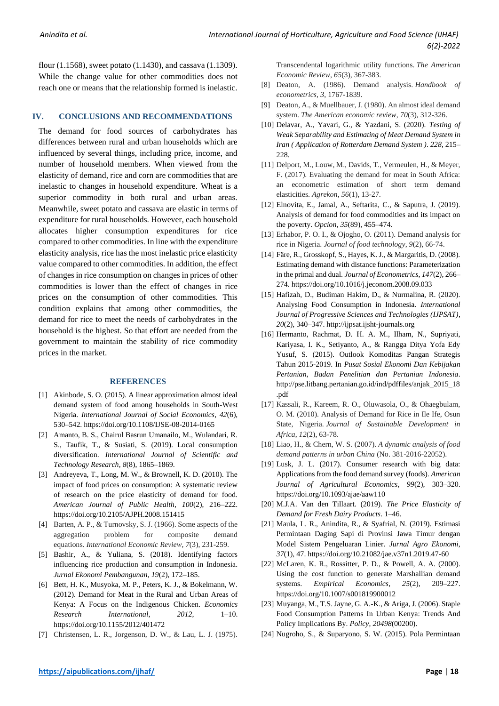flour (1.1568), sweet potato (1.1430), and cassava (1.1309). While the change value for other commodities does not reach one or means that the relationship formed is inelastic.

#### **IV. CONCLUSIONS AND RECOMMENDATIONS**

The demand for food sources of carbohydrates has differences between rural and urban households which are influenced by several things, including price, income, and number of household members. When viewed from the elasticity of demand, rice and corn are commodities that are inelastic to changes in household expenditure. Wheat is a superior commodity in both rural and urban areas. Meanwhile, sweet potato and cassava are elastic in terms of expenditure for rural households. However, each household allocates higher consumption expenditures for rice compared to other commodities. In line with the expenditure elasticity analysis, rice has the most inelastic price elasticity value compared to other commodities. In addition, the effect of changes in rice consumption on changes in prices of other commodities is lower than the effect of changes in rice prices on the consumption of other commodities. This condition explains that among other commodities, the demand for rice to meet the needs of carbohydrates in the household is the highest. So that effort are needed from the government to maintain the stability of rice commodity prices in the market.

#### **REFERENCES**

- [1] Akinbode, S. O. (2015). A linear approximation almost ideal demand system of food among households in South-West Nigeria. *International Journal of Social Economics*, *42*(6), 530–542. https://doi.org/10.1108/IJSE-08-2014-0165
- [2] Amanto, B. S., Chairul Basrun Umanailo, M., Wulandari, R. S., Taufik, T., & Susiati, S. (2019). Local consumption diversification. *International Journal of Scientific and Technology Research*, *8*(8), 1865–1869.
- [3] Andreyeva, T., Long, M. W., & Brownell, K. D. (2010). The impact of food prices on consumption: A systematic review of research on the price elasticity of demand for food. *American Journal of Public Health*, *100*(2), 216–222. https://doi.org/10.2105/AJPH.2008.151415
- [4] Barten, A. P., & Turnovsky, S. J. (1966). Some aspects of the aggregation problem for composite demand equations. *International Economic Review*, *7*(3), 231-259.
- [5] Bashir, A., & Yuliana, S. (2018). Identifying factors influencing rice production and consumption in Indonesia. *Jurnal Ekonomi Pembangunan*, *19*(2), 172–185.
- [6] Bett, H. K., Musyoka, M. P., Peters, K. J., & Bokelmann, W. (2012). Demand for Meat in the Rural and Urban Areas of Kenya: A Focus on the Indigenous Chicken. *Economics Research International*, *2012*, 1–10. https://doi.org/10.1155/2012/401472
- [7] Christensen, L. R., Jorgenson, D. W., & Lau, L. J. (1975).

Transcendental logarithmic utility functions. *The American Economic Review*, *65*(3), 367-383.

- [8] Deaton, A. (1986). Demand analysis. *Handbook of econometrics*, *3*, 1767-1839.
- [9] Deaton, A., & Muellbauer, J. (1980). An almost ideal demand system. *The American economic review*, *70*(3), 312-326.
- [10] Delavar, A., Yavari, G., & Yazdani, S. (2020). *Testing of Weak Separability and Estimating of Meat Demand System in Iran ( Application of Rotterdam Demand System )*. *228*, 215– 228.
- [11] Delport, M., Louw, M., Davids, T., Vermeulen, H., & Meyer, F. (2017). Evaluating the demand for meat in South Africa: an econometric estimation of short term demand elasticities. *Agrekon*, *56*(1), 13-27.
- [12] Elnovita, E., Jamal, A., Seftarita, C., & Saputra, J. (2019). Analysis of demand for food commodities and its impact on the poverty. *Opcion*, *35*(89), 455–474.
- [13] Erhabor, P. O. I., & Ojogho, O. (2011). Demand analysis for rice in Nigeria. *Journal of food technology*, *9*(2), 66-74.
- [14] Färe, R., Grosskopf, S., Hayes, K. J., & Margaritis, D. (2008). Estimating demand with distance functions: Parameterization in the primal and dual. *Journal of Econometrics*, *147*(2), 266– 274. https://doi.org/10.1016/j.jeconom.2008.09.033
- [15] Hafizah, D., Budiman Hakim, D., & Nurmalina, R. (2020). Analysing Food Consumption in Indonesia. *International Journal of Progressive Sciences and Technologies (IJPSAT)*, *20*(2), 340–347. http://ijpsat.ijsht-journals.org
- [16] Hermanto, Rachmat, D. H. A. M., Ilham, N., Supriyati, Kariyasa, I. K., Setiyanto, A., & Rangga Ditya Yofa Edy Yusuf, S. (2015). Outlook Komoditas Pangan Strategis Tahun 2015-2019. In *Pusat Sosial Ekonomi Dan Kebijakan Pertanian, Badan Penelitian dan Pertanian Indonesia*. http://pse.litbang.pertanian.go.id/ind/pdffiles/anjak\_2015\_18 .pdf
- [17] Kassali, R., Kareem, R. O., Oluwasola, O., & Ohaegbulam, O. M. (2010). Analysis of Demand for Rice in Ile Ife, Osun State, Nigeria. *Journal of Sustainable Development in Africa*, *12*(2), 63-78.
- [18] Liao, H., & Chern, W. S. (2007). *A dynamic analysis of food demand patterns in urban China* (No. 381-2016-22052).
- [19] Lusk, J. L. (2017). Consumer research with big data: Applications from the food demand survey (foods). *American Journal of Agricultural Economics*, *99*(2), 303–320. https://doi.org/10.1093/ajae/aaw110
- [20] M.J.A. Van den Tillaart. (2019). *The Price Elasticity of Demand for Fresh Dairy Products*. 1–46.
- [21] Maula, L. R., Anindita, R., & Syafrial, N. (2019). Estimasi Permintaan Daging Sapi di Provinsi Jawa Timur dengan Model Sistem Pengeluaran Linier. *Jurnal Agro Ekonomi*, *37*(1), 47. https://doi.org/10.21082/jae.v37n1.2019.47-60
- [22] McLaren, K. R., Rossitter, P. D., & Powell, A. A. (2000). Using the cost function to generate Marshallian demand systems. *Empirical Economics*, *25*(2), 209–227. https://doi.org/10.1007/s001819900012
- [23] Muyanga, M., T.S. Jayne, G. A.-K., & Ariga, J. (2006). Staple Food Consumption Patterns In Urban Kenya: Trends And Policy Implications By. *Policy*, *20498*(00200).
- [24] Nugroho, S., & Suparyono, S. W. (2015). Pola Permintaan